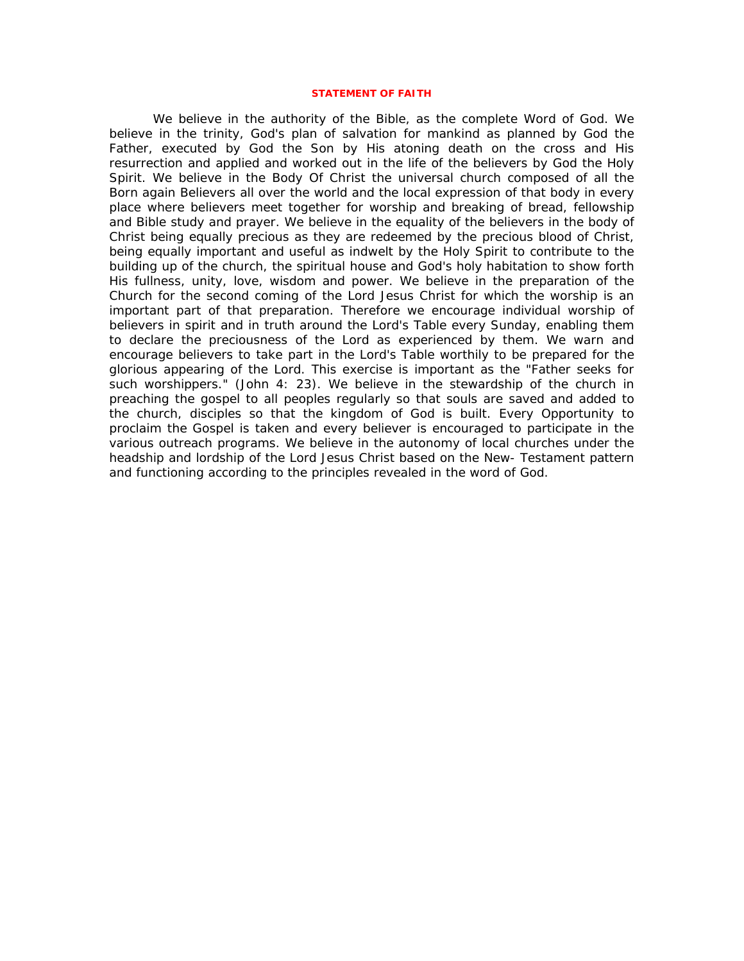### **STATEMENT OF FAITH**

We believe in the authority of the Bible, as the complete Word of God. We believe in the trinity, God's plan of salvation for mankind as planned by God the Father, executed by God the Son by His atoning death on the cross and His resurrection and applied and worked out in the life of the believers by God the Holy Spirit. We believe in the Body Of Christ the universal church composed of all the Born again Believers all over the world and the local expression of that body in every place where believers meet together for worship and breaking of bread, fellowship and Bible study and prayer. We believe in the equality of the believers in the body of Christ being equally precious as they are redeemed by the precious blood of Christ, being equally important and useful as indwelt by the Holy Spirit to contribute to the building up of the church, the spiritual house and God's holy habitation to show forth His fullness, unity, love, wisdom and power. We believe in the preparation of the Church for the second coming of the Lord Jesus Christ for which the worship is an important part of that preparation. Therefore we encourage individual worship of believers in spirit and in truth around the Lord's Table every Sunday, enabling them to declare the preciousness of the Lord as experienced by them. We warn and encourage believers to take part in the Lord's Table worthily to be prepared for the glorious appearing of the Lord. This exercise is important as the "Father seeks for such worshippers." (John 4: 23). We believe in the stewardship of the church in preaching the gospel to all peoples regularly so that souls are saved and added to the church, disciples so that the kingdom of God is built. Every Opportunity to proclaim the Gospel is taken and every believer is encouraged to participate in the various outreach programs. We believe in the autonomy of local churches under the headship and lordship of the Lord Jesus Christ based on the New- Testament pattern and functioning according to the principles revealed in the word of God.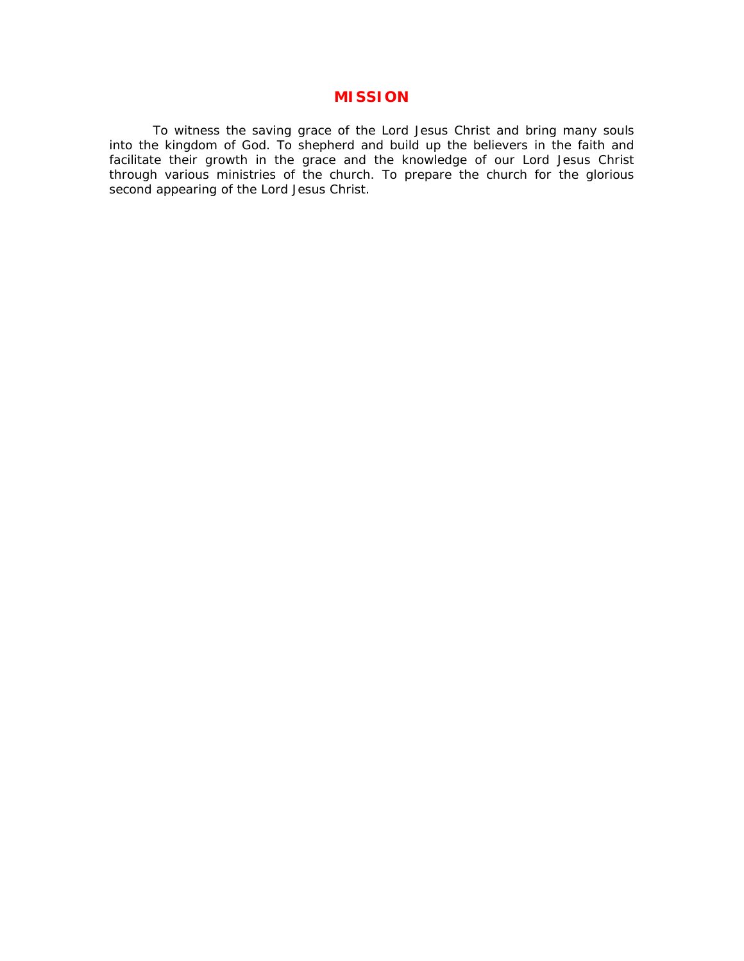# **MISSION**

To witness the saving grace of the Lord Jesus Christ and bring many souls into the kingdom of God. To shepherd and build up the believers in the faith and facilitate their growth in the grace and the knowledge of our Lord Jesus Christ through various ministries of the church. To prepare the church for the glorious second appearing of the Lord Jesus Christ.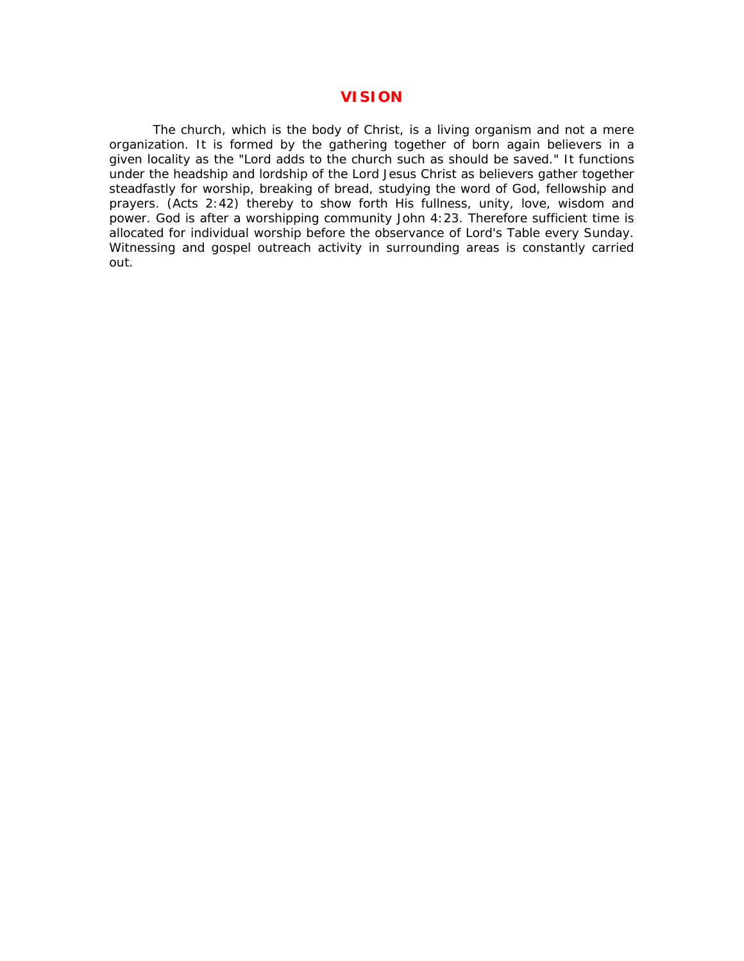# **VISION**

The church, which is the body of Christ, is a living organism and not a mere organization. It is formed by the gathering together of born again believers in a given locality as the "Lord adds to the church such as should be saved." It functions under the headship and lordship of the Lord Jesus Christ as believers gather together steadfastly for worship, breaking of bread, studying the word of God, fellowship and prayers. (Acts 2:42) thereby to show forth His fullness, unity, love, wisdom and power. God is after a worshipping community John 4:23. Therefore sufficient time is allocated for individual worship before the observance of Lord's Table every Sunday. Witnessing and gospel outreach activity in surrounding areas is constantly carried out.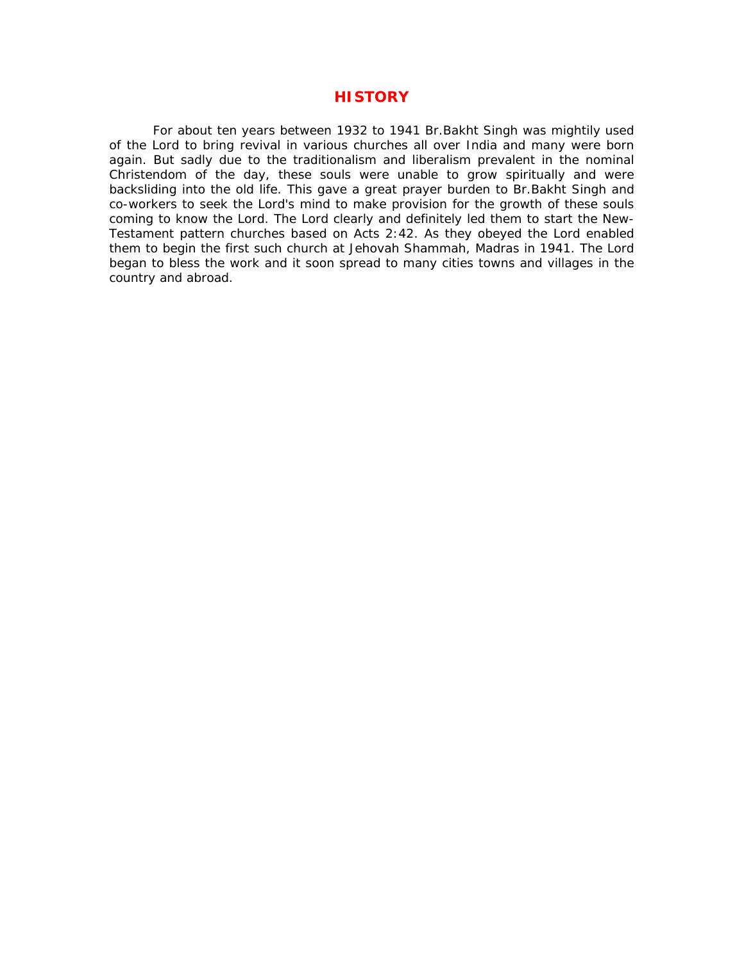# **HISTORY**

For about ten years between 1932 to 1941 Br.Bakht Singh was mightily used of the Lord to bring revival in various churches all over India and many were born again. But sadly due to the traditionalism and liberalism prevalent in the nominal Christendom of the day, these souls were unable to grow spiritually and were backsliding into the old life. This gave a great prayer burden to Br.Bakht Singh and co-workers to seek the Lord's mind to make provision for the growth of these souls coming to know the Lord. The Lord clearly and definitely led them to start the New-Testament pattern churches based on Acts 2:42. As they obeyed the Lord enabled them to begin the first such church at Jehovah Shammah, Madras in 1941. The Lord began to bless the work and it soon spread to many cities towns and villages in the country and abroad.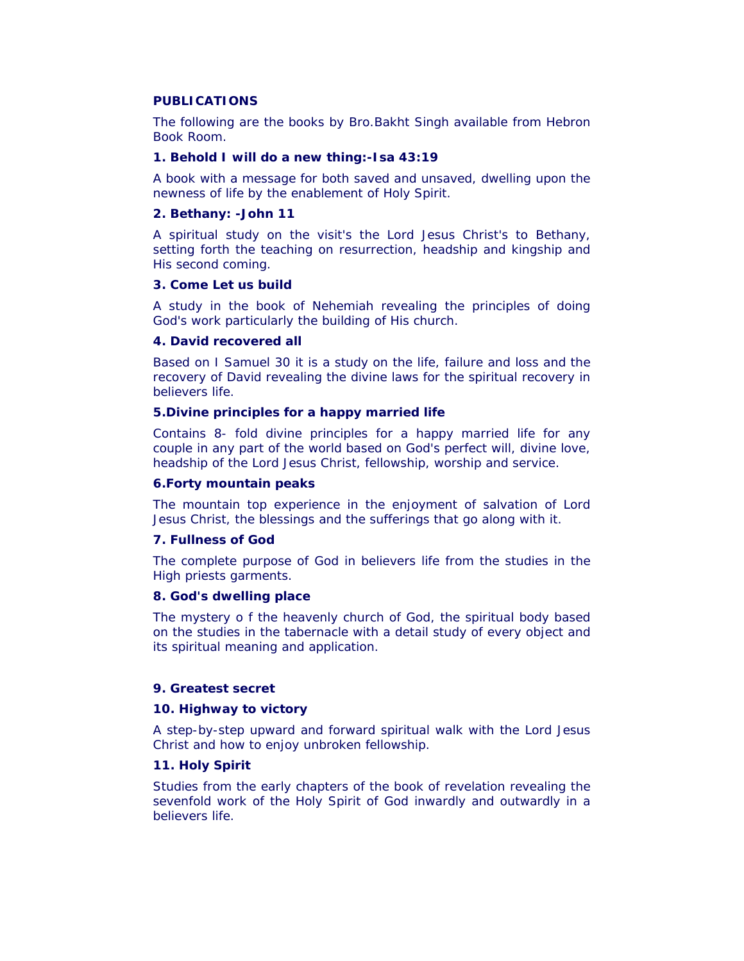## **PUBLICATIONS**

The following are the books by Bro.Bakht Singh available from Hebron Book Room.

## **1. Behold I will do a new thing:-Isa 43:19**

A book with a message for both saved and unsaved, dwelling upon the newness of life by the enablement of Holy Spirit.

#### **2. Bethany: -John 11**

A spiritual study on the visit's the Lord Jesus Christ's to Bethany, setting forth the teaching on resurrection, headship and kingship and His second coming.

## **3. Come Let us build**

A study in the book of Nehemiah revealing the principles of doing God's work particularly the building of His church.

## **4. David recovered all**

Based on I Samuel 30 it is a study on the life, failure and loss and the recovery of David revealing the divine laws for the spiritual recovery in believers life.

### **5.Divine principles for a happy married life**

Contains 8- fold divine principles for a happy married life for any couple in any part of the world based on God's perfect will, divine love, headship of the Lord Jesus Christ, fellowship, worship and service.

### **6.Forty mountain peaks**

The mountain top experience in the enjoyment of salvation of Lord Jesus Christ, the blessings and the sufferings that go along with it.

# **7. Fullness of God**

The complete purpose of God in believers life from the studies in the High priests garments.

#### **8. God's dwelling place**

The mystery o f the heavenly church of God, the spiritual body based on the studies in the tabernacle with a detail study of every object and its spiritual meaning and application.

## **9. Greatest secret**

## **10. Highway to victory**

A step-by-step upward and forward spiritual walk with the Lord Jesus Christ and how to enjoy unbroken fellowship.

## **11. Holy Spirit**

Studies from the early chapters of the book of revelation revealing the sevenfold work of the Holy Spirit of God inwardly and outwardly in a believers life.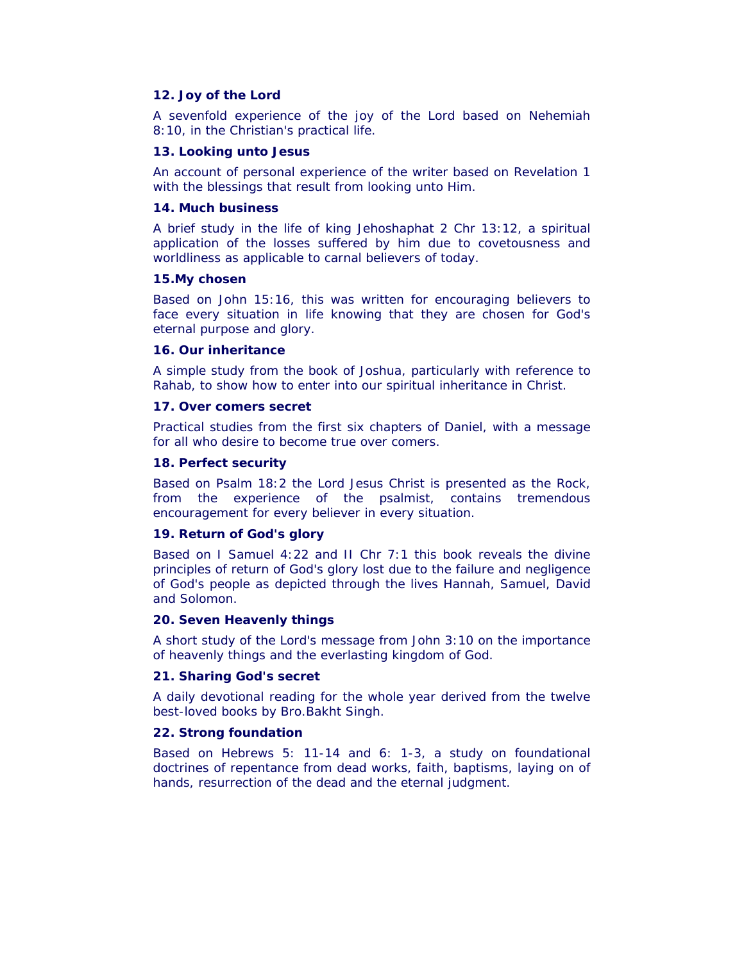#### **12. Joy of the Lord**

A sevenfold experience of the joy of the Lord based on Nehemiah 8:10, in the Christian's practical life.

#### **13. Looking unto Jesus**

An account of personal experience of the writer based on Revelation 1 with the blessings that result from looking unto Him.

### **14. Much business**

A brief study in the life of king Jehoshaphat 2 Chr 13:12, a spiritual application of the losses suffered by him due to covetousness and worldliness as applicable to carnal believers of today.

## **15.My chosen**

Based on John 15:16, this was written for encouraging believers to face every situation in life knowing that they are chosen for God's eternal purpose and glory.

## **16. Our inheritance**

A simple study from the book of Joshua, particularly with reference to Rahab, to show how to enter into our spiritual inheritance in Christ.

## **17. Over comers secret**

Practical studies from the first six chapters of Daniel, with a message for all who desire to become true over comers.

## **18. Perfect security**

Based on Psalm 18:2 the Lord Jesus Christ is presented as the Rock, from the experience of the psalmist, contains tremendous encouragement for every believer in every situation.

## **19. Return of God's glory**

Based on I Samuel 4:22 and II Chr 7:1 this book reveals the divine principles of return of God's glory lost due to the failure and negligence of God's people as depicted through the lives Hannah, Samuel, David and Solomon.

## **20. Seven Heavenly things**

A short study of the Lord's message from John 3:10 on the importance of heavenly things and the everlasting kingdom of God.

## **21. Sharing God's secret**

A daily devotional reading for the whole year derived from the twelve best-loved books by Bro.Bakht Singh.

## **22. Strong foundation**

Based on Hebrews 5: 11-14 and 6: 1-3, a study on foundational doctrines of repentance from dead works, faith, baptisms, laying on of hands, resurrection of the dead and the eternal judgment.